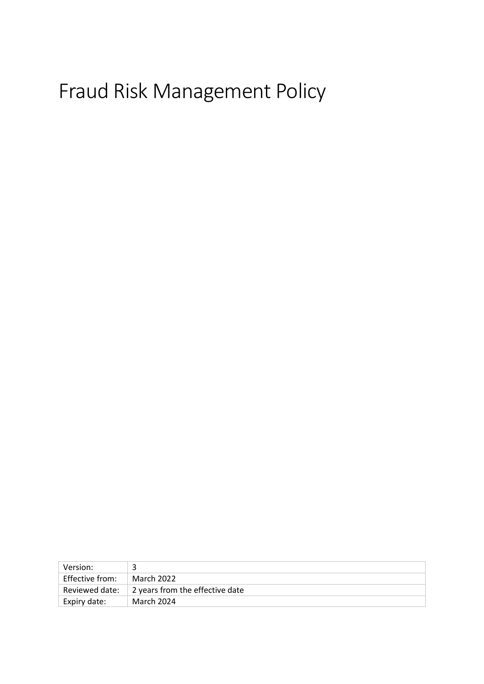# Fraud Risk Management Policy

| Version:        |                                 |  |
|-----------------|---------------------------------|--|
| Effective from: | March 2022                      |  |
| Reviewed date:  | 2 years from the effective date |  |
| Expiry date:    | March 2024                      |  |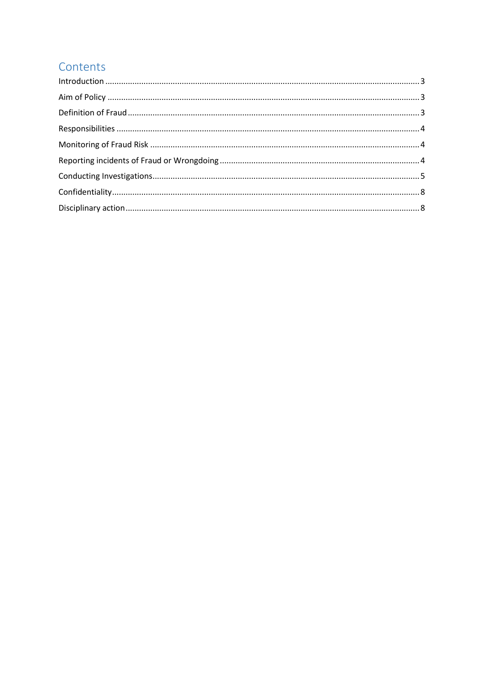# Contents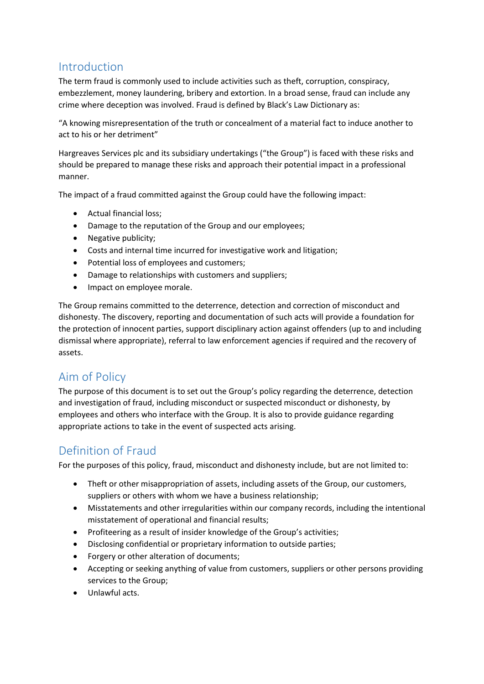# <span id="page-2-0"></span>Introduction

The term fraud is commonly used to include activities such as theft, corruption, conspiracy, embezzlement, money laundering, bribery and extortion. In a broad sense, fraud can include any crime where deception was involved. Fraud is defined by Black's Law Dictionary as:

"A knowing misrepresentation of the truth or concealment of a material fact to induce another to act to his or her detriment"

Hargreaves Services plc and its subsidiary undertakings ("the Group") is faced with these risks and should be prepared to manage these risks and approach their potential impact in a professional manner.

The impact of a fraud committed against the Group could have the following impact:

- Actual financial loss;
- Damage to the reputation of the Group and our employees;
- Negative publicity;
- Costs and internal time incurred for investigative work and litigation;
- Potential loss of employees and customers;
- Damage to relationships with customers and suppliers;
- Impact on employee morale.

The Group remains committed to the deterrence, detection and correction of misconduct and dishonesty. The discovery, reporting and documentation of such acts will provide a foundation for the protection of innocent parties, support disciplinary action against offenders (up to and including dismissal where appropriate), referral to law enforcement agencies if required and the recovery of assets.

# <span id="page-2-1"></span>Aim of Policy

The purpose of this document is to set out the Group's policy regarding the deterrence, detection and investigation of fraud, including misconduct or suspected misconduct or dishonesty, by employees and others who interface with the Group. It is also to provide guidance regarding appropriate actions to take in the event of suspected acts arising.

# <span id="page-2-2"></span>Definition of Fraud

For the purposes of this policy, fraud, misconduct and dishonesty include, but are not limited to:

- Theft or other misappropriation of assets, including assets of the Group, our customers, suppliers or others with whom we have a business relationship;
- Misstatements and other irregularities within our company records, including the intentional misstatement of operational and financial results;
- Profiteering as a result of insider knowledge of the Group's activities;
- Disclosing confidential or proprietary information to outside parties;
- Forgery or other alteration of documents;
- Accepting or seeking anything of value from customers, suppliers or other persons providing services to the Group;
- Unlawful acts.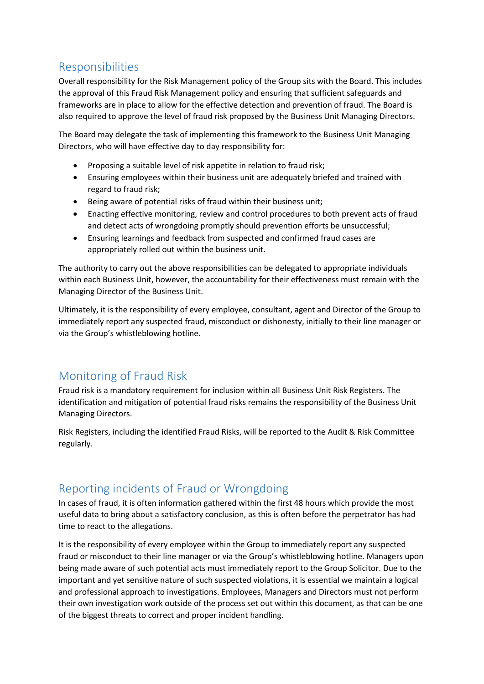# <span id="page-3-0"></span>Responsibilities

Overall responsibility for the Risk Management policy of the Group sits with the Board. This includes the approval of this Fraud Risk Management policy and ensuring that sufficient safeguards and frameworks are in place to allow for the effective detection and prevention of fraud. The Board is also required to approve the level of fraud risk proposed by the Business Unit Managing Directors.

The Board may delegate the task of implementing this framework to the Business Unit Managing Directors, who will have effective day to day responsibility for:

- Proposing a suitable level of risk appetite in relation to fraud risk;
- Ensuring employees within their business unit are adequately briefed and trained with regard to fraud risk;
- Being aware of potential risks of fraud within their business unit;
- Enacting effective monitoring, review and control procedures to both prevent acts of fraud and detect acts of wrongdoing promptly should prevention efforts be unsuccessful;
- Ensuring learnings and feedback from suspected and confirmed fraud cases are appropriately rolled out within the business unit.

The authority to carry out the above responsibilities can be delegated to appropriate individuals within each Business Unit, however, the accountability for their effectiveness must remain with the Managing Director of the Business Unit.

Ultimately, it is the responsibility of every employee, consultant, agent and Director of the Group to immediately report any suspected fraud, misconduct or dishonesty, initially to their line manager or via the Group's whistleblowing hotline.

# <span id="page-3-1"></span>Monitoring of Fraud Risk

Fraud risk is a mandatory requirement for inclusion within all Business Unit Risk Registers. The identification and mitigation of potential fraud risks remains the responsibility of the Business Unit Managing Directors.

Risk Registers, including the identified Fraud Risks, will be reported to the Audit & Risk Committee regularly.

# <span id="page-3-2"></span>Reporting incidents of Fraud or Wrongdoing

In cases of fraud, it is often information gathered within the first 48 hours which provide the most useful data to bring about a satisfactory conclusion, as this is often before the perpetrator has had time to react to the allegations.

It is the responsibility of every employee within the Group to immediately report any suspected fraud or misconduct to their line manager or via the Group's whistleblowing hotline. Managers upon being made aware of such potential acts must immediately report to the Group Solicitor. Due to the important and yet sensitive nature of such suspected violations, it is essential we maintain a logical and professional approach to investigations. Employees, Managers and Directors must not perform their own investigation work outside of the process set out within this document, as that can be one of the biggest threats to correct and proper incident handling.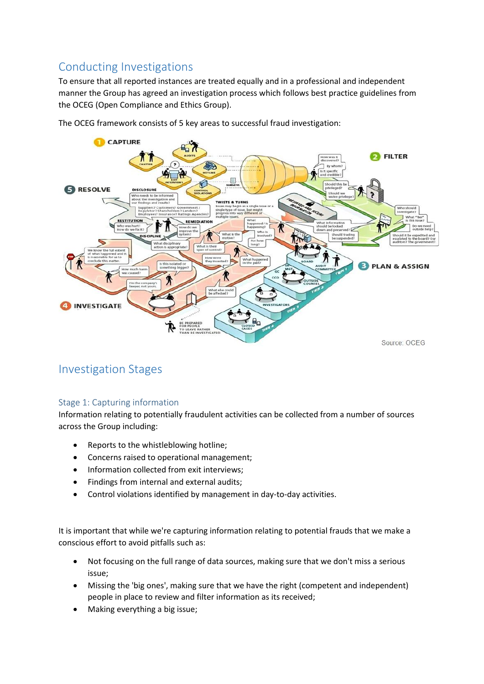# <span id="page-4-0"></span>Conducting Investigations

To ensure that all reported instances are treated equally and in a professional and independent manner the Group has agreed an investigation process which follows best practice guidelines from the OCEG (Open Compliance and Ethics Group).



The OCEG framework consists of 5 key areas to successful fraud investigation:

# Investigation Stages

#### Stage 1: Capturing information

Information relating to potentially fraudulent activities can be collected from a number of sources across the Group including:

- Reports to the whistleblowing hotline;
- Concerns raised to operational management;
- Information collected from exit interviews;
- Findings from internal and external audits;
- Control violations identified by management in day-to-day activities.

It is important that while we're capturing information relating to potential frauds that we make a conscious effort to avoid pitfalls such as:

- Not focusing on the full range of data sources, making sure that we don't miss a serious issue;
- Missing the 'big ones', making sure that we have the right (competent and independent) people in place to review and filter information as its received;
- Making everything a big issue;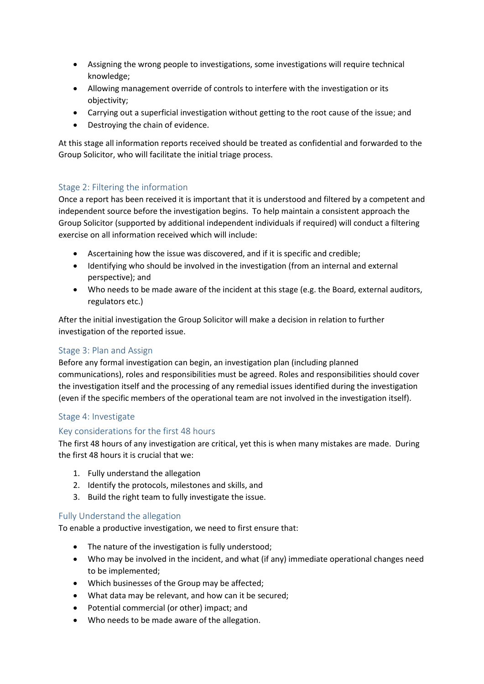- Assigning the wrong people to investigations, some investigations will require technical knowledge;
- Allowing management override of controls to interfere with the investigation or its objectivity;
- Carrying out a superficial investigation without getting to the root cause of the issue; and
- Destroying the chain of evidence.

At this stage all information reports received should be treated as confidential and forwarded to the Group Solicitor, who will facilitate the initial triage process.

#### Stage 2: Filtering the information

Once a report has been received it is important that it is understood and filtered by a competent and independent source before the investigation begins. To help maintain a consistent approach the Group Solicitor (supported by additional independent individuals if required) will conduct a filtering exercise on all information received which will include:

- Ascertaining how the issue was discovered, and if it is specific and credible;
- Identifying who should be involved in the investigation (from an internal and external perspective); and
- Who needs to be made aware of the incident at this stage (e.g. the Board, external auditors, regulators etc.)

After the initial investigation the Group Solicitor will make a decision in relation to further investigation of the reported issue.

#### Stage 3: Plan and Assign

Before any formal investigation can begin, an investigation plan (including planned communications), roles and responsibilities must be agreed. Roles and responsibilities should cover the investigation itself and the processing of any remedial issues identified during the investigation (even if the specific members of the operational team are not involved in the investigation itself).

#### Stage 4: Investigate

#### Key considerations for the first 48 hours

The first 48 hours of any investigation are critical, yet this is when many mistakes are made. During the first 48 hours it is crucial that we:

- 1. Fully understand the allegation
- 2. Identify the protocols, milestones and skills, and
- 3. Build the right team to fully investigate the issue.

#### Fully Understand the allegation

To enable a productive investigation, we need to first ensure that:

- The nature of the investigation is fully understood;
- Who may be involved in the incident, and what (if any) immediate operational changes need to be implemented;
- Which businesses of the Group may be affected;
- What data may be relevant, and how can it be secured;
- Potential commercial (or other) impact; and
- Who needs to be made aware of the allegation.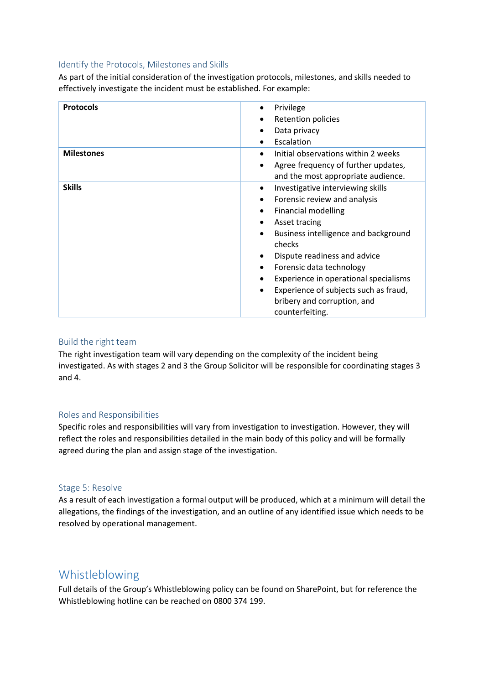#### Identify the Protocols, Milestones and Skills

As part of the initial consideration of the investigation protocols, milestones, and skills needed to effectively investigate the incident must be established. For example:

| <b>Protocols</b>  | Privilege<br><b>Retention policies</b><br>Data privacy<br>Escalation<br>$\bullet$                                                                                                                                                                                                                                                                                                                      |
|-------------------|--------------------------------------------------------------------------------------------------------------------------------------------------------------------------------------------------------------------------------------------------------------------------------------------------------------------------------------------------------------------------------------------------------|
| <b>Milestones</b> | Initial observations within 2 weeks<br>$\bullet$<br>Agree frequency of further updates,<br>٠<br>and the most appropriate audience.                                                                                                                                                                                                                                                                     |
| <b>Skills</b>     | Investigative interviewing skills<br>$\bullet$<br>Forensic review and analysis<br><b>Financial modelling</b><br>Asset tracing<br>Business intelligence and background<br>$\bullet$<br>checks<br>Dispute readiness and advice<br>٠<br>Forensic data technology<br>٠<br>Experience in operational specialisms<br>Experience of subjects such as fraud,<br>bribery and corruption, and<br>counterfeiting. |

#### Build the right team

The right investigation team will vary depending on the complexity of the incident being investigated. As with stages 2 and 3 the Group Solicitor will be responsible for coordinating stages 3 and 4.

#### Roles and Responsibilities

Specific roles and responsibilities will vary from investigation to investigation. However, they will reflect the roles and responsibilities detailed in the main body of this policy and will be formally agreed during the plan and assign stage of the investigation.

#### Stage 5: Resolve

As a result of each investigation a formal output will be produced, which at a minimum will detail the allegations, the findings of the investigation, and an outline of any identified issue which needs to be resolved by operational management.

### Whistleblowing

Full details of the Group's Whistleblowing policy can be found on SharePoint, but for reference the Whistleblowing hotline can be reached on 0800 374 199.